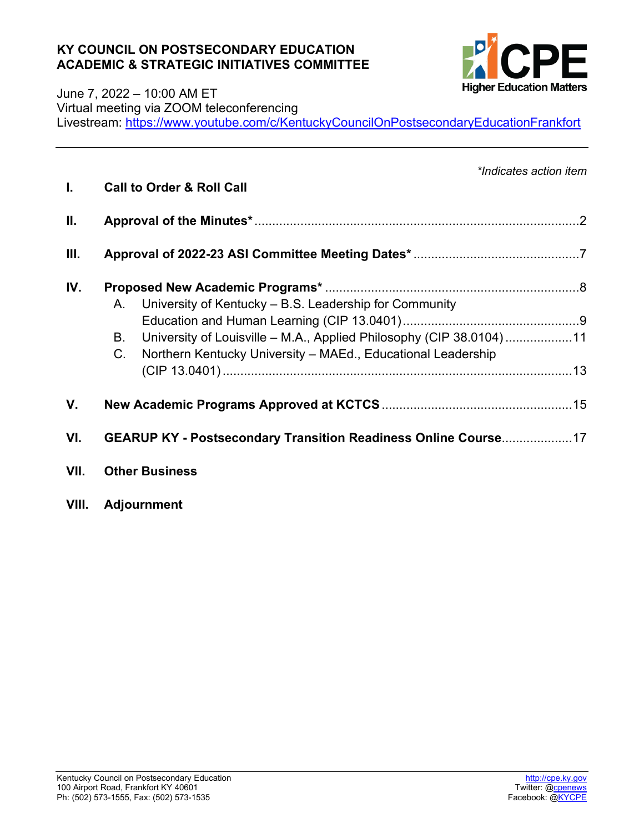### **KY COUNCIL ON POSTSECONDARY EDUCATION ACADEMIC & STRATEGIC INITIATIVES COMMITTEE**



### June 7, 2022 – 10:00 AM ET Virtual meeting via ZOOM teleconferencing Livestream:<https://www.youtube.com/c/KentuckyCouncilOnPostsecondaryEducationFrankfort>

| L.   | *Indicates action item<br><b>Call to Order &amp; Roll Call</b>                                                                                                                                                           |  |  |  |  |
|------|--------------------------------------------------------------------------------------------------------------------------------------------------------------------------------------------------------------------------|--|--|--|--|
| Ш.   |                                                                                                                                                                                                                          |  |  |  |  |
| III. |                                                                                                                                                                                                                          |  |  |  |  |
| IV.  | University of Kentucky – B.S. Leadership for Community<br>A.<br>University of Louisville - M.A., Applied Philosophy (CIP 38.0104)11<br>В.<br>$C_{\cdot}$<br>Northern Kentucky University - MAEd., Educational Leadership |  |  |  |  |
| V.   |                                                                                                                                                                                                                          |  |  |  |  |
| VI.  | GEARUP KY - Postsecondary Transition Readiness Online Course17                                                                                                                                                           |  |  |  |  |
| VII. | <b>Other Business</b>                                                                                                                                                                                                    |  |  |  |  |

**VIII. Adjournment**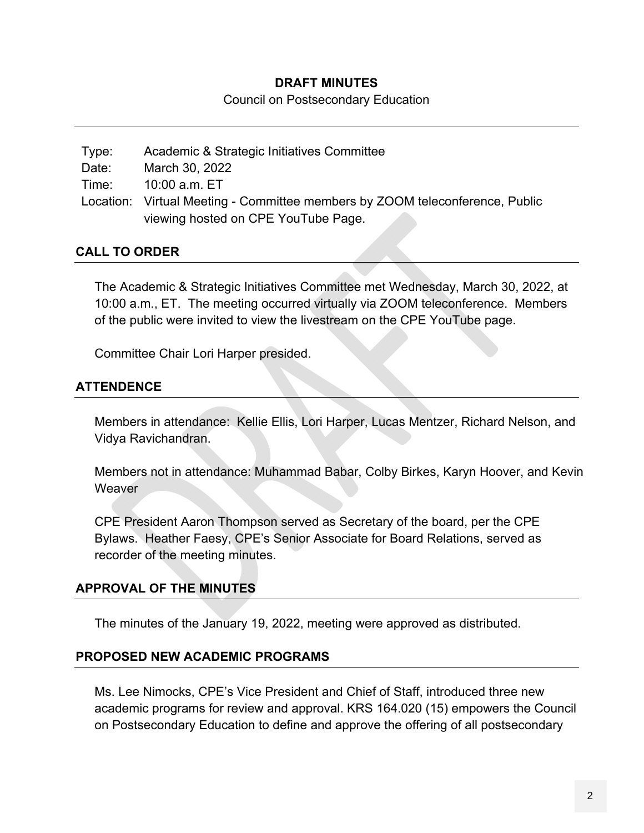### **DRAFT MINUTES**

Council on Postsecondary Education

Type: Academic & Strategic Initiatives Committee Date: March 30, 2022 Time: 10:00 a.m. ET Location: Virtual Meeting - Committee members by ZOOM teleconference, Public viewing hosted on CPE YouTube Page.

## **CALL TO ORDER**

The Academic & Strategic Initiatives Committee met Wednesday, March 30, 2022, at 10:00 a.m., ET. The meeting occurred virtually via ZOOM teleconference. Members of the public were invited to view the livestream on the CPE YouTube page.

Committee Chair Lori Harper presided.

## **ATTENDENCE**

Members in attendance: Kellie Ellis, Lori Harper, Lucas Mentzer, Richard Nelson, and Vidya Ravichandran.

Members not in attendance: Muhammad Babar, Colby Birkes, Karyn Hoover, and Kevin **Weaver** 

CPE President Aaron Thompson served as Secretary of the board, per the CPE Bylaws. Heather Faesy, CPE's Senior Associate for Board Relations, served as recorder of the meeting minutes.

## **APPROVAL OF THE MINUTES**

The minutes of the January 19, 2022, meeting were approved as distributed.

### **PROPOSED NEW ACADEMIC PROGRAMS**

Ms. Lee Nimocks, CPE's Vice President and Chief of Staff, introduced three new academic programs for review and approval. KRS 164.020 (15) empowers the Council on Postsecondary Education to define and approve the offering of all postsecondary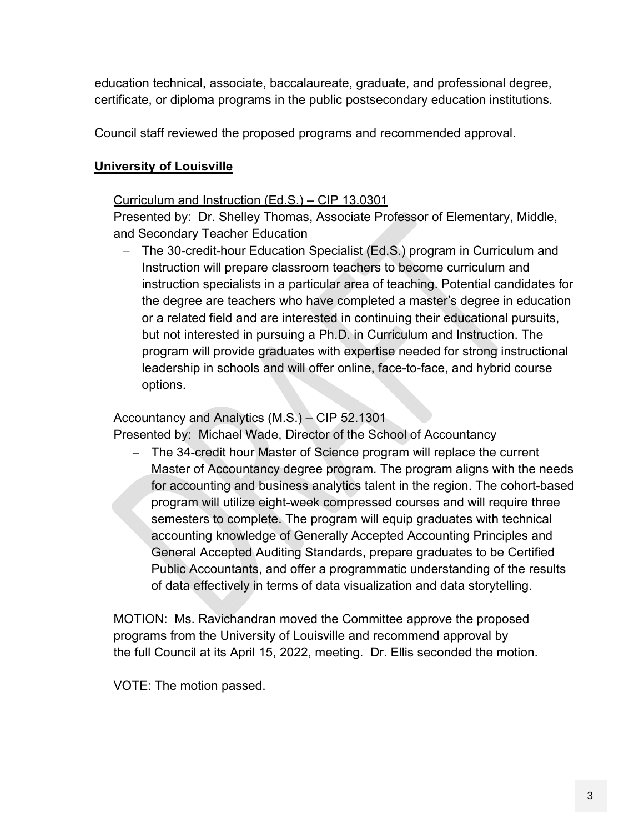education technical, associate, baccalaureate, graduate, and professional degree, certificate, or diploma programs in the public postsecondary education institutions.

Council staff reviewed the proposed programs and recommended approval.

# **University of Louisville**

# Curriculum and Instruction (Ed.S.) – CIP 13.0301

Presented by: Dr. Shelley Thomas, Associate Professor of Elementary, Middle, and Secondary Teacher Education

- The 30-credit-hour Education Specialist (Ed.S.) program in Curriculum and Instruction will prepare classroom teachers to become curriculum and instruction specialists in a particular area of teaching. Potential candidates for the degree are teachers who have completed a master's degree in education or a related field and are interested in continuing their educational pursuits, but not interested in pursuing a Ph.D. in Curriculum and Instruction. The program will provide graduates with expertise needed for strong instructional leadership in schools and will offer online, face-to-face, and hybrid course options.

# Accountancy and Analytics (M.S.) – CIP 52.1301

Presented by: Michael Wade, Director of the School of Accountancy

- The 34-credit hour Master of Science program will replace the current Master of Accountancy degree program. The program aligns with the needs for accounting and business analytics talent in the region. The cohort-based program will utilize eight-week compressed courses and will require three semesters to complete. The program will equip graduates with technical accounting knowledge of Generally Accepted Accounting Principles and General Accepted Auditing Standards, prepare graduates to be Certified Public Accountants, and offer a programmatic understanding of the results of data effectively in terms of data visualization and data storytelling.

MOTION: Ms. Ravichandran moved the Committee approve the proposed programs from the University of Louisville and recommend approval by the full Council at its April 15, 2022, meeting. Dr. Ellis seconded the motion.

VOTE: The motion passed.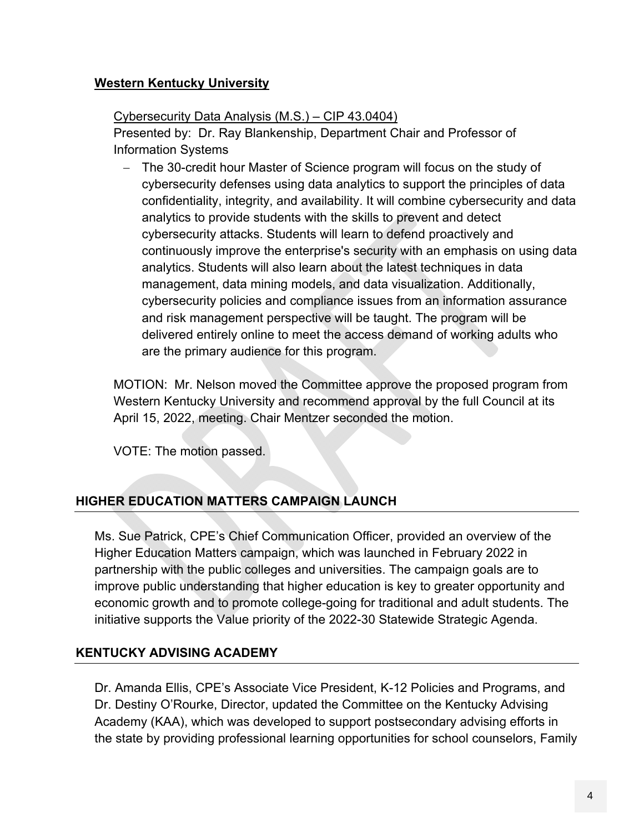# **Western Kentucky University**

# Cybersecurity Data Analysis (M.S.) – CIP 43.0404)

Presented by: Dr. Ray Blankenship, Department Chair and Professor of Information Systems

- The 30-credit hour Master of Science program will focus on the study of cybersecurity defenses using data analytics to support the principles of data confidentiality, integrity, and availability. It will combine cybersecurity and data analytics to provide students with the skills to prevent and detect cybersecurity attacks. Students will learn to defend proactively and continuously improve the enterprise's security with an emphasis on using data analytics. Students will also learn about the latest techniques in data management, data mining models, and data visualization. Additionally, cybersecurity policies and compliance issues from an information assurance and risk management perspective will be taught. The program will be delivered entirely online to meet the access demand of working adults who are the primary audience for this program.

MOTION: Mr. Nelson moved the Committee approve the proposed program from Western Kentucky University and recommend approval by the full Council at its April 15, 2022, meeting. Chair Mentzer seconded the motion.

VOTE: The motion passed.

# **HIGHER EDUCATION MATTERS CAMPAIGN LAUNCH**

Ms. Sue Patrick, CPE's Chief Communication Officer, provided an overview of the Higher Education Matters campaign, which was launched in February 2022 in partnership with the public colleges and universities. The campaign goals are to improve public understanding that higher education is key to greater opportunity and economic growth and to promote college-going for traditional and adult students. The initiative supports the Value priority of the 2022-30 Statewide Strategic Agenda.

## **KENTUCKY ADVISING ACADEMY**

Dr. Amanda Ellis, CPE's Associate Vice President, K-12 Policies and Programs, and Dr. Destiny O'Rourke, Director, updated the Committee on the Kentucky Advising Academy (KAA), which was developed to support postsecondary advising efforts in the state by providing professional learning opportunities for school counselors, Family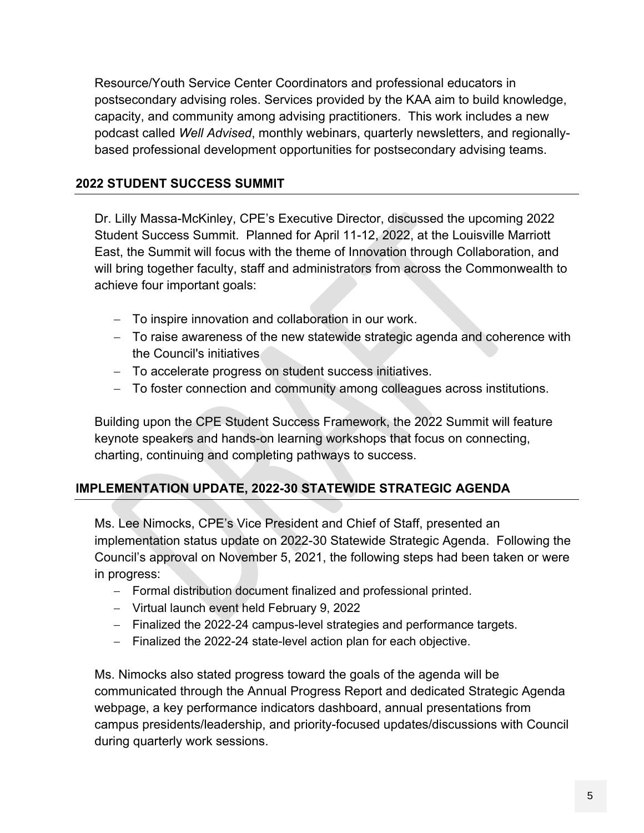Resource/Youth Service Center Coordinators and professional educators in postsecondary advising roles. Services provided by the KAA aim to build knowledge, capacity, and community among advising practitioners. This work includes a new podcast called *Well Advised*, monthly webinars, quarterly newsletters, and regionallybased professional development opportunities for postsecondary advising teams.

# **2022 STUDENT SUCCESS SUMMIT**

Dr. Lilly Massa-McKinley, CPE's Executive Director, discussed the upcoming 2022 Student Success Summit. Planned for April 11-12, 2022, at the Louisville Marriott East, the Summit will focus with the theme of Innovation through Collaboration, and will bring together faculty, staff and administrators from across the Commonwealth to achieve four important goals:

- To inspire innovation and collaboration in our work.
- To raise awareness of the new statewide strategic agenda and coherence with the Council's initiatives
- To accelerate progress on student success initiatives.
- To foster connection and community among colleagues across institutions.

Building upon the CPE Student Success Framework, the 2022 Summit will feature keynote speakers and hands-on learning workshops that focus on connecting, charting, continuing and completing pathways to success.

# **IMPLEMENTATION UPDATE, 2022-30 STATEWIDE STRATEGIC AGENDA**

Ms. Lee Nimocks, CPE's Vice President and Chief of Staff, presented an implementation status update on 2022-30 Statewide Strategic Agenda. Following the Council's approval on November 5, 2021, the following steps had been taken or were in progress:

- Formal distribution document finalized and professional printed.
- Virtual launch event held February 9, 2022
- Finalized the 2022-24 campus-level strategies and performance targets.
- Finalized the 2022-24 state-level action plan for each objective.

Ms. Nimocks also stated progress toward the goals of the agenda will be communicated through the Annual Progress Report and dedicated Strategic Agenda webpage, a key performance indicators dashboard, annual presentations from campus presidents/leadership, and priority-focused updates/discussions with Council during quarterly work sessions.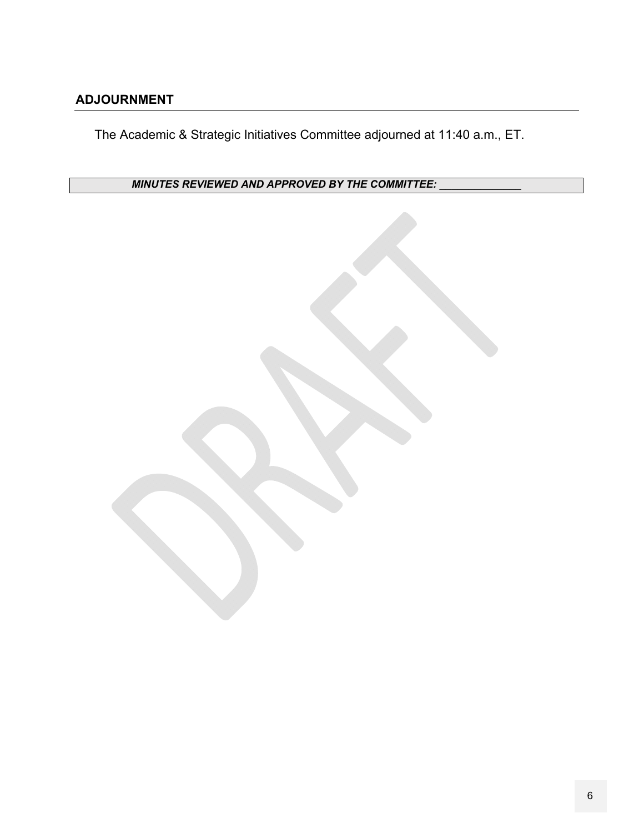# **ADJOURNMENT**

The Academic & Strategic Initiatives Committee adjourned at 11:40 a.m., ET.

*MINUTES REVIEWED AND APPROVED BY THE COMMITTEE:* 

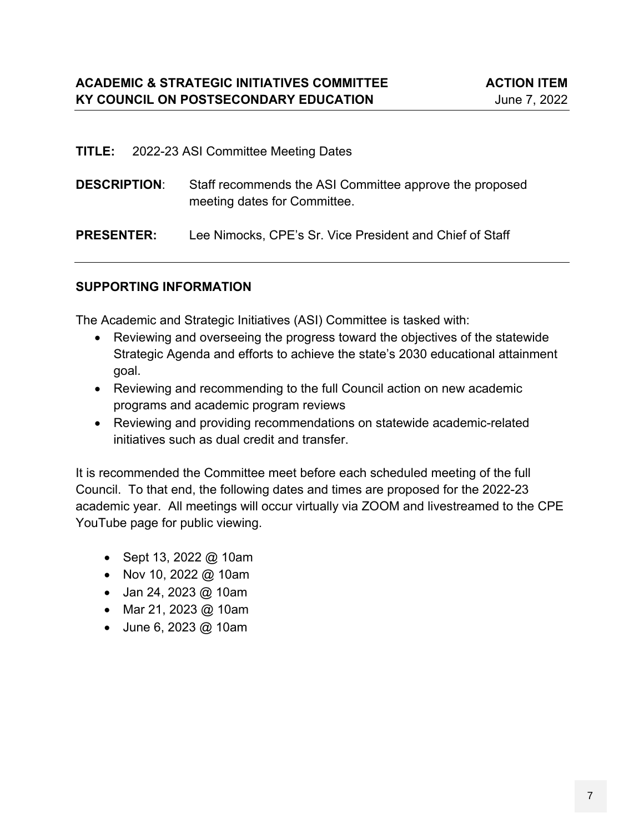| <b>TITLE:</b> 2022-23 ASI Committee Meeting Dates |  |                                                                                         |  |  |  |
|---------------------------------------------------|--|-----------------------------------------------------------------------------------------|--|--|--|
| <b>DESCRIPTION:</b>                               |  | Staff recommends the ASI Committee approve the proposed<br>meeting dates for Committee. |  |  |  |
| <b>PRESENTER:</b>                                 |  | Lee Nimocks, CPE's Sr. Vice President and Chief of Staff                                |  |  |  |

### **SUPPORTING INFORMATION**

The Academic and Strategic Initiatives (ASI) Committee is tasked with:

- Reviewing and overseeing the progress toward the objectives of the statewide Strategic Agenda and efforts to achieve the state's 2030 educational attainment goal.
- Reviewing and recommending to the full Council action on new academic programs and academic program reviews
- Reviewing and providing recommendations on statewide academic-related initiatives such as dual credit and transfer.

It is recommended the Committee meet before each scheduled meeting of the full Council. To that end, the following dates and times are proposed for the 2022-23 academic year. All meetings will occur virtually via ZOOM and livestreamed to the CPE YouTube page for public viewing.

- Sept 13, 2022 @ 10am
- Nov 10, 2022 @ 10am
- Jan 24, 2023 @ 10am
- Mar 21, 2023 @ 10am
- June 6, 2023 @ 10am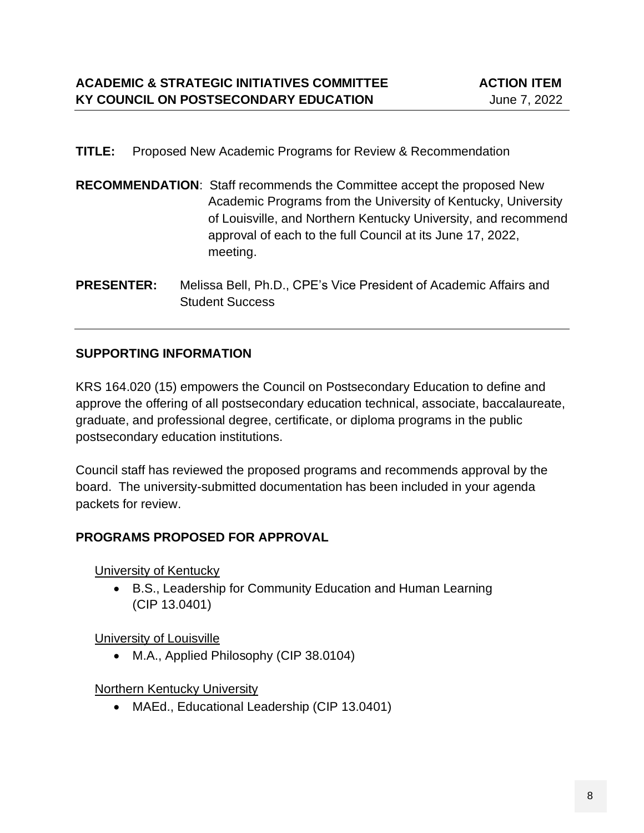### **TITLE:** Proposed New Academic Programs for Review & Recommendation

- **RECOMMENDATION**: Staff recommends the Committee accept the proposed New Academic Programs from the University of Kentucky, University of Louisville, and Northern Kentucky University, and recommend approval of each to the full Council at its June 17, 2022, meeting.
- **PRESENTER:** Melissa Bell, Ph.D., CPE's Vice President of Academic Affairs and Student Success

## **SUPPORTING INFORMATION**

KRS 164.020 (15) empowers the Council on Postsecondary Education to define and approve the offering of all postsecondary education technical, associate, baccalaureate, graduate, and professional degree, certificate, or diploma programs in the public postsecondary education institutions.

Council staff has reviewed the proposed programs and recommends approval by the board. The university-submitted documentation has been included in your agenda packets for review.

# **PROGRAMS PROPOSED FOR APPROVAL**

University of Kentucky

• B.S., Leadership for Community Education and Human Learning (CIP 13.0401)

## University of Louisville

• M.A., Applied Philosophy (CIP 38.0104)

## Northern Kentucky University

• MAEd., Educational Leadership (CIP 13.0401)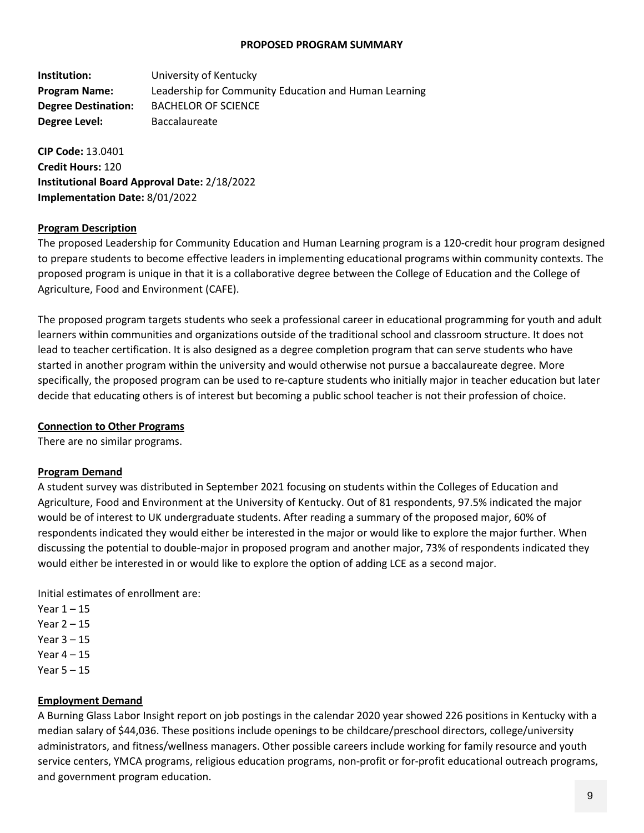#### **PROPOSED PROGRAM SUMMARY**

**Institution:** University of Kentucky **Program Name:** Leadership for Community Education and Human Learning **Degree Destination:** BACHELOR OF SCIENCE **Degree Level:** Baccalaureate

**CIP Code:** 13.0401 **Credit Hours:** 120 **Institutional Board Approval Date:** 2/18/2022 **Implementation Date:** 8/01/2022

### **Program Description**

The proposed Leadership for Community Education and Human Learning program is a 120-credit hour program designed to prepare students to become effective leaders in implementing educational programs within community contexts. The proposed program is unique in that it is a collaborative degree between the College of Education and the College of Agriculture, Food and Environment (CAFE).

The proposed program targets students who seek a professional career in educational programming for youth and adult learners within communities and organizations outside of the traditional school and classroom structure. It does not lead to teacher certification. It is also designed as a degree completion program that can serve students who have started in another program within the university and would otherwise not pursue a baccalaureate degree. More specifically, the proposed program can be used to re-capture students who initially major in teacher education but later decide that educating others is of interest but becoming a public school teacher is not their profession of choice.

#### **Connection to Other Programs**

There are no similar programs.

#### **Program Demand**

A student survey was distributed in September 2021 focusing on students within the Colleges of Education and Agriculture, Food and Environment at the University of Kentucky. Out of 81 respondents, 97.5% indicated the major would be of interest to UK undergraduate students. After reading a summary of the proposed major, 60% of respondents indicated they would either be interested in the major or would like to explore the major further. When discussing the potential to double-major in proposed program and another major, 73% of respondents indicated they would either be interested in or would like to explore the option of adding LCE as a second major.

Initial estimates of enrollment are:

- Year  $1 15$
- Year 2 15
- Year 3 15
- Year  $4 15$
- Year 5 15

#### **Employment Demand**

A Burning Glass Labor Insight report on job postings in the calendar 2020 year showed 226 positions in Kentucky with a median salary of \$44,036. These positions include openings to be childcare/preschool directors, college/university administrators, and fitness/wellness managers. Other possible careers include working for family resource and youth service centers, YMCA programs, religious education programs, non-profit or for-profit educational outreach programs, and government program education.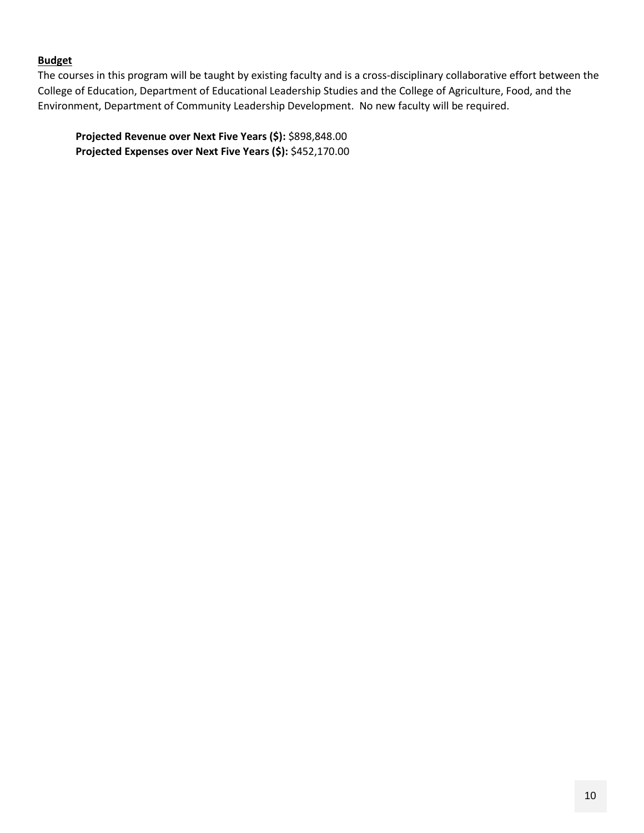### **Budget**

The courses in this program will be taught by existing faculty and is a cross-disciplinary collaborative effort between the College of Education, Department of Educational Leadership Studies and the College of Agriculture, Food, and the Environment, Department of Community Leadership Development. No new faculty will be required.

**Projected Revenue over Next Five Years (\$):** \$898,848.00 **Projected Expenses over Next Five Years (\$):** \$452,170.00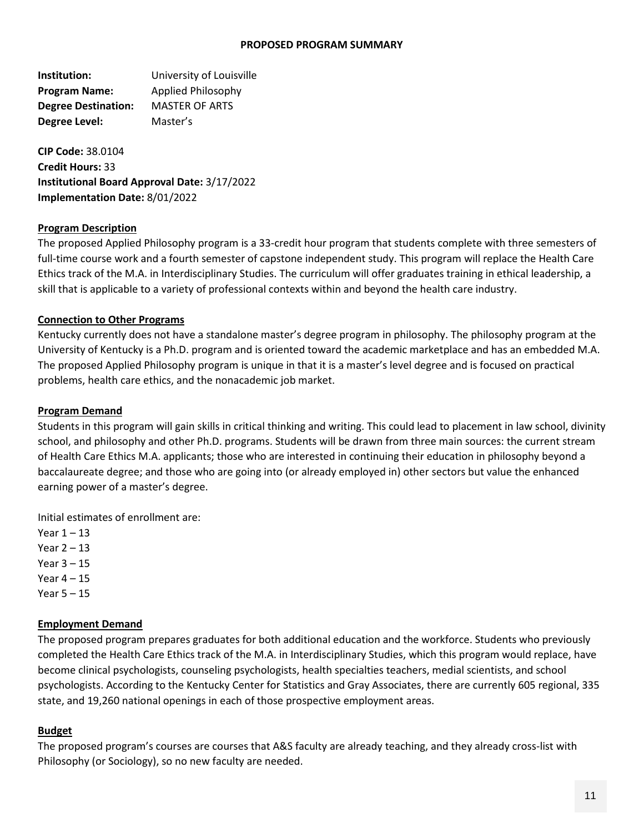#### **PROPOSED PROGRAM SUMMARY**

**Institution:** University of Louisville **Program Name:** Applied Philosophy **Degree Destination:** MASTER OF ARTS **Degree Level:** Master's

**CIP Code:** 38.0104 **Credit Hours:** 33 **Institutional Board Approval Date:** 3/17/2022 **Implementation Date:** 8/01/2022

#### **Program Description**

The proposed Applied Philosophy program is a 33-credit hour program that students complete with three semesters of full-time course work and a fourth semester of capstone independent study. This program will replace the Health Care Ethics track of the M.A. in Interdisciplinary Studies. The curriculum will offer graduates training in ethical leadership, a skill that is applicable to a variety of professional contexts within and beyond the health care industry.

#### **Connection to Other Programs**

Kentucky currently does not have a standalone master's degree program in philosophy. The philosophy program at the University of Kentucky is a Ph.D. program and is oriented toward the academic marketplace and has an embedded M.A. The proposed Applied Philosophy program is unique in that it is a master's level degree and is focused on practical problems, health care ethics, and the nonacademic job market.

#### **Program Demand**

Students in this program will gain skills in critical thinking and writing. This could lead to placement in law school, divinity school, and philosophy and other Ph.D. programs. Students will be drawn from three main sources: the current stream of Health Care Ethics M.A. applicants; those who are interested in continuing their education in philosophy beyond a baccalaureate degree; and those who are going into (or already employed in) other sectors but value the enhanced earning power of a master's degree.

Initial estimates of enrollment are:

Year  $1 - 13$ Year 2 – 13 Year 3 – 15

Year  $4 - 15$ 

Year 5 – 15

#### **Employment Demand**

The proposed program prepares graduates for both additional education and the workforce. Students who previously completed the Health Care Ethics track of the M.A. in Interdisciplinary Studies, which this program would replace, have become clinical psychologists, counseling psychologists, health specialties teachers, medial scientists, and school psychologists. According to the Kentucky Center for Statistics and Gray Associates, there are currently 605 regional, 335 state, and 19,260 national openings in each of those prospective employment areas.

#### **Budget**

The proposed program's courses are courses that A&S faculty are already teaching, and they already cross-list with Philosophy (or Sociology), so no new faculty are needed.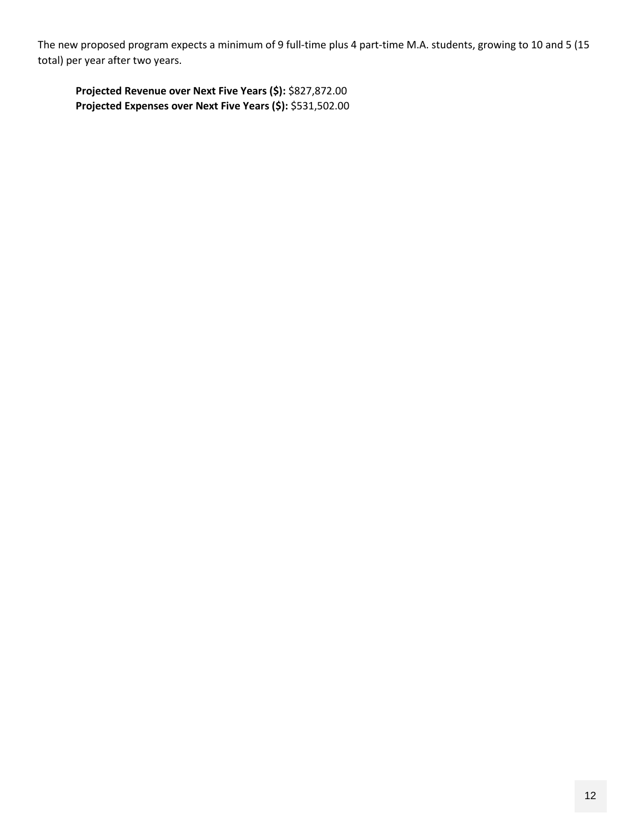The new proposed program expects a minimum of 9 full-time plus 4 part-time M.A. students, growing to 10 and 5 (15 total) per year after two years.

**Projected Revenue over Next Five Years (\$):** \$827,872.00 **Projected Expenses over Next Five Years (\$):** \$531,502.00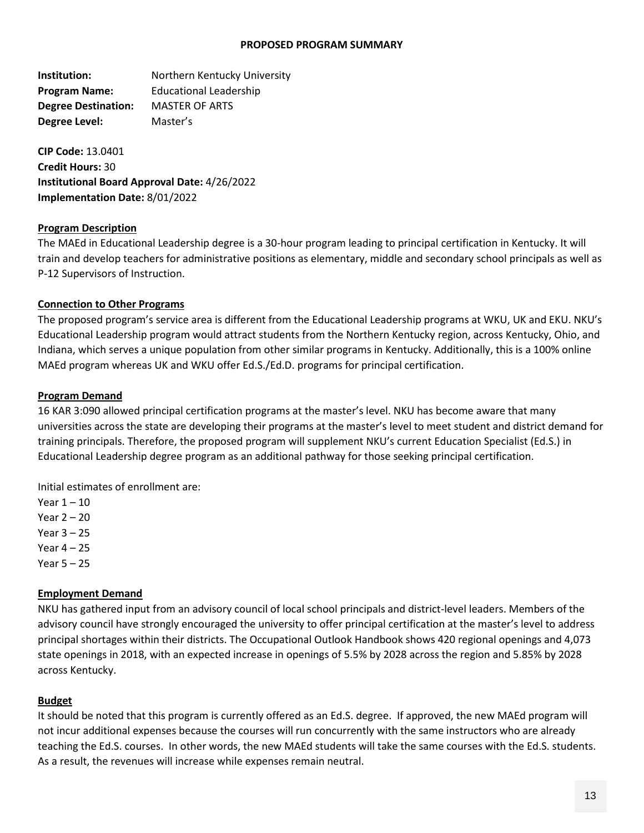#### **PROPOSED PROGRAM SUMMARY**

**Institution: Northern Kentucky University Program Name:** Educational Leadership **Degree Destination:** MASTER OF ARTS **Degree Level:** Master's

**CIP Code:** 13.0401 **Credit Hours:** 30 **Institutional Board Approval Date:** 4/26/2022 **Implementation Date:** 8/01/2022

#### **Program Description**

The MAEd in Educational Leadership degree is a 30-hour program leading to principal certification in Kentucky. It will train and develop teachers for administrative positions as elementary, middle and secondary school principals as well as P-12 Supervisors of Instruction.

#### **Connection to Other Programs**

The proposed program's service area is different from the Educational Leadership programs at WKU, UK and EKU. NKU's Educational Leadership program would attract students from the Northern Kentucky region, across Kentucky, Ohio, and Indiana, which serves a unique population from other similar programs in Kentucky. Additionally, this is a 100% online MAEd program whereas UK and WKU offer Ed.S./Ed.D. programs for principal certification.

#### **Program Demand**

16 KAR 3:090 allowed principal certification programs at the master's level. NKU has become aware that many universities across the state are developing their programs at the master's level to meet student and district demand for training principals. Therefore, the proposed program will supplement NKU's current Education Specialist (Ed.S.) in Educational Leadership degree program as an additional pathway for those seeking principal certification.

Initial estimates of enrollment are:

- Year  $1 10$
- Year 2 20
- Year 3 25
- Year 4 25
- Year 5 25

#### **Employment Demand**

NKU has gathered input from an advisory council of local school principals and district-level leaders. Members of the advisory council have strongly encouraged the university to offer principal certification at the master's level to address principal shortages within their districts. The Occupational Outlook Handbook shows 420 regional openings and 4,073 state openings in 2018, with an expected increase in openings of 5.5% by 2028 across the region and 5.85% by 2028 across Kentucky.

#### **Budget**

It should be noted that this program is currently offered as an Ed.S. degree. If approved, the new MAEd program will not incur additional expenses because the courses will run concurrently with the same instructors who are already teaching the Ed.S. courses. In other words, the new MAEd students will take the same courses with the Ed.S. students. As a result, the revenues will increase while expenses remain neutral.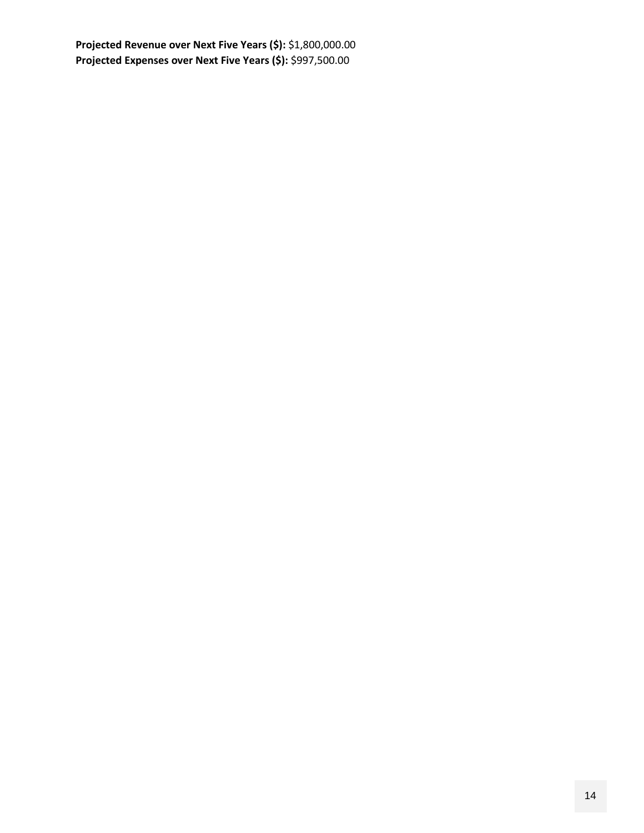**Projected Revenue over Next Five Years (\$):** \$1,800,000.00 **Projected Expenses over Next Five Years (\$):** \$997,500.00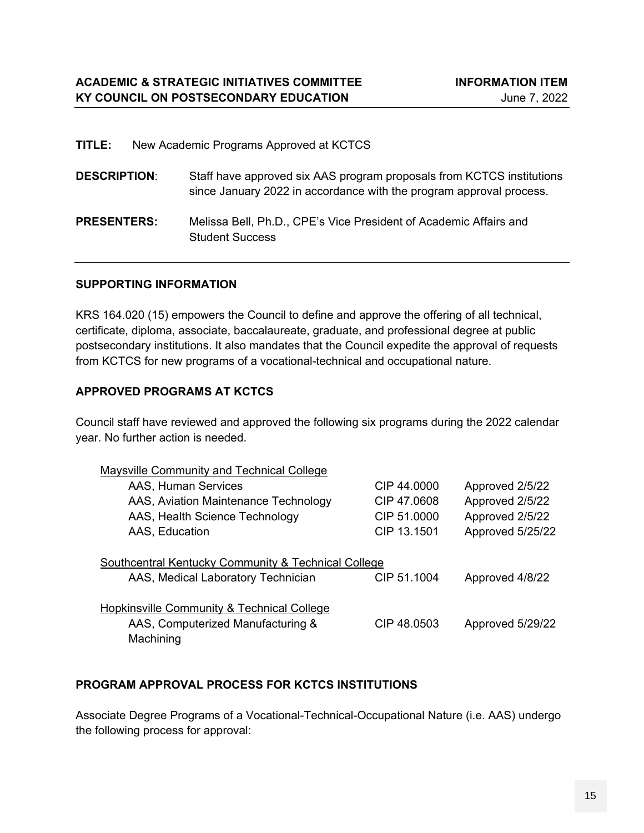| TITLE:              | New Academic Programs Approved at KCTCS                                                                                                      |
|---------------------|----------------------------------------------------------------------------------------------------------------------------------------------|
| <b>DESCRIPTION:</b> | Staff have approved six AAS program proposals from KCTCS institutions<br>since January 2022 in accordance with the program approval process. |
| <b>PRESENTERS:</b>  | Melissa Bell, Ph.D., CPE's Vice President of Academic Affairs and<br><b>Student Success</b>                                                  |

### **SUPPORTING INFORMATION**

KRS 164.020 (15) empowers the Council to define and approve the offering of all technical, certificate, diploma, associate, baccalaureate, graduate, and professional degree at public postsecondary institutions. It also mandates that the Council expedite the approval of requests from KCTCS for new programs of a vocational-technical and occupational nature.

### **APPROVED PROGRAMS AT KCTCS**

Council staff have reviewed and approved the following six programs during the 2022 calendar year. No further action is needed.

| Maysville Community and Technical College                                                                                   |             |                  |  |  |  |  |
|-----------------------------------------------------------------------------------------------------------------------------|-------------|------------------|--|--|--|--|
| AAS, Human Services                                                                                                         | CIP 44,0000 | Approved 2/5/22  |  |  |  |  |
| AAS, Aviation Maintenance Technology                                                                                        | CIP 47,0608 | Approved 2/5/22  |  |  |  |  |
| AAS, Health Science Technology                                                                                              | CIP 51,0000 | Approved 2/5/22  |  |  |  |  |
| AAS, Education                                                                                                              | CIP 13.1501 | Approved 5/25/22 |  |  |  |  |
| Southcentral Kentucky Community & Technical College<br>CIP 51.1004<br>AAS, Medical Laboratory Technician<br>Approved 4/8/22 |             |                  |  |  |  |  |
| Hopkinsville Community & Technical College                                                                                  |             |                  |  |  |  |  |
| AAS, Computerized Manufacturing &                                                                                           | CIP 48,0503 | Approved 5/29/22 |  |  |  |  |
| Machining                                                                                                                   |             |                  |  |  |  |  |

### **PROGRAM APPROVAL PROCESS FOR KCTCS INSTITUTIONS**

Associate Degree Programs of a Vocational-Technical-Occupational Nature (i.e. AAS) undergo the following process for approval: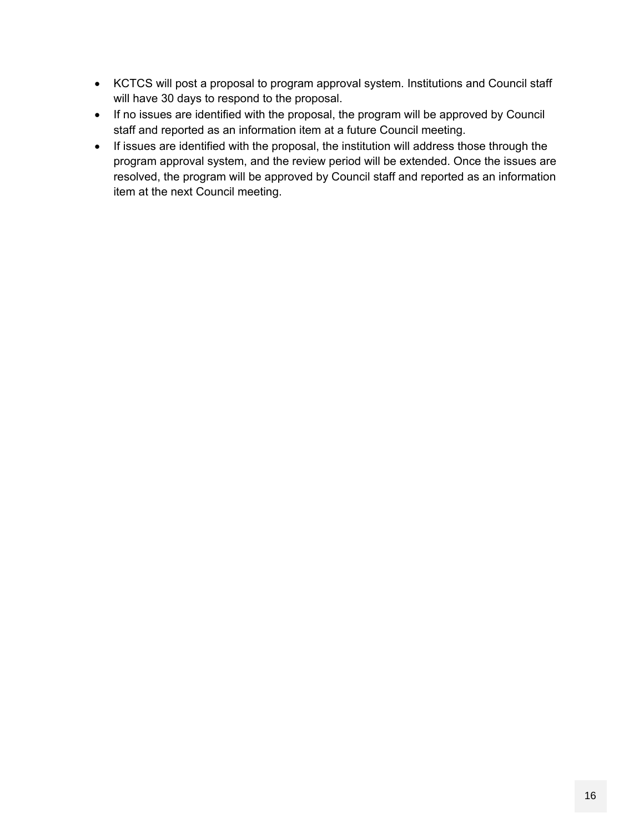- KCTCS will post a proposal to program approval system. Institutions and Council staff will have 30 days to respond to the proposal.
- If no issues are identified with the proposal, the program will be approved by Council staff and reported as an information item at a future Council meeting.
- If issues are identified with the proposal, the institution will address those through the program approval system, and the review period will be extended. Once the issues are resolved, the program will be approved by Council staff and reported as an information item at the next Council meeting.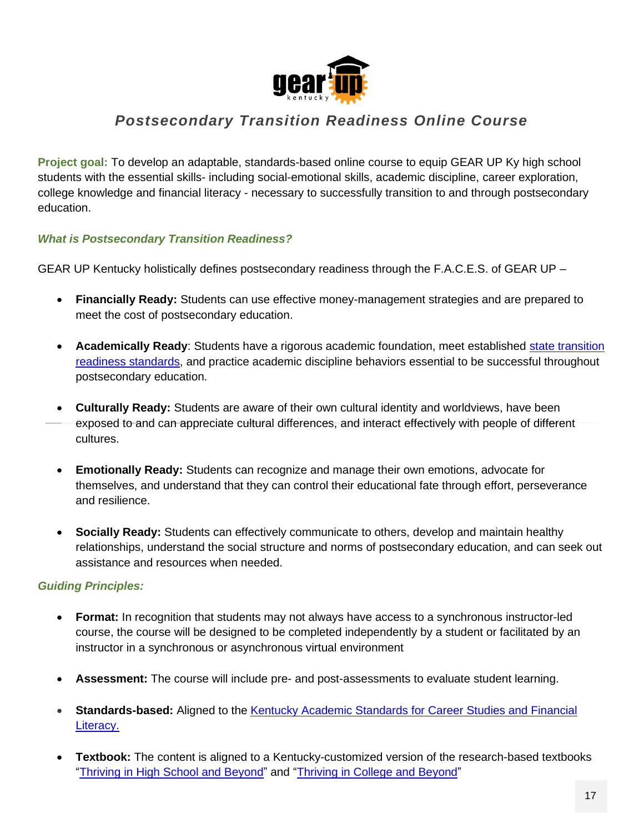

# *Postsecondary Transition Readiness Online Course*

**Project goal:** To develop an adaptable, standards-based online course to equip GEAR UP Ky high school students with the essential skills- including social-emotional skills, academic discipline, career exploration, college knowledge and financial literacy - necessary to successfully transition to and through postsecondary education.

### *What is Postsecondary Transition Readiness?*

GEAR UP Kentucky holistically defines postsecondary readiness through the F.A.C.E.S. of GEAR UP –

- **Financially Ready:** Students can use effective money-management strategies and are prepared to meet the cost of postsecondary education.
- **Academically Ready**: Students have a rigorous academic foundation, meet established [state transition](https://education.ky.gov/CommOfEd/mon/Documents/Transition%20Readiness%2020180207.pdf)  [readiness standards,](https://education.ky.gov/CommOfEd/mon/Documents/Transition%20Readiness%2020180207.pdf) and practice academic discipline behaviors essential to be successful throughout postsecondary education.
- **Culturally Ready:** Students are aware of their own cultural identity and worldviews, have been exposed to and can appreciate cultural differences, and interact effectively with people of different cultures.
- **Emotionally Ready:** Students can recognize and manage their own emotions, advocate for themselves, and understand that they can control their educational fate through effort, perseverance and resilience.
- **Socially Ready:** Students can effectively communicate to others, develop and maintain healthy relationships, understand the social structure and norms of postsecondary education, and can seek out assistance and resources when needed.

## *Guiding Principles:*

- **Format:** In recognition that students may not always have access to a synchronous instructor-led course, the course will be designed to be completed independently by a student or facilitated by an instructor in a synchronous or asynchronous virtual environment
- **Assessment:** The course will include pre- and post-assessments to evaluate student learning.
- [Standards](https://education.ky.gov/curriculum/standards/kyacadstand/Documents/MIR_704_KAR_8.080_Kentucky_Academic_Standards_for_Career_Studies.pdf)-based: Aligned to the **Kentucky Academic Standards for Career Studies and Financial** [Literacy.](https://education.ky.gov/curriculum/standards/kyacadstand/Documents/MIR_704_KAR_8.080_Kentucky_Academic_Standards_for_Career_Studies.pdf)
- **Textbook:** The content is aligned to a Kentucky-customized version of the research-based textbooks ["Thriving](https://he.kendallhunt.com/product/thriving-high-school-and-beyond-strategies-academic-success-personal-development-0) in High School and Beyond" and ["Thriving](https://he.kendallhunt.com/product/thriving-college-and-beyond-research-based-strategies-academic-success-and-personal-1) in College and Beyond"